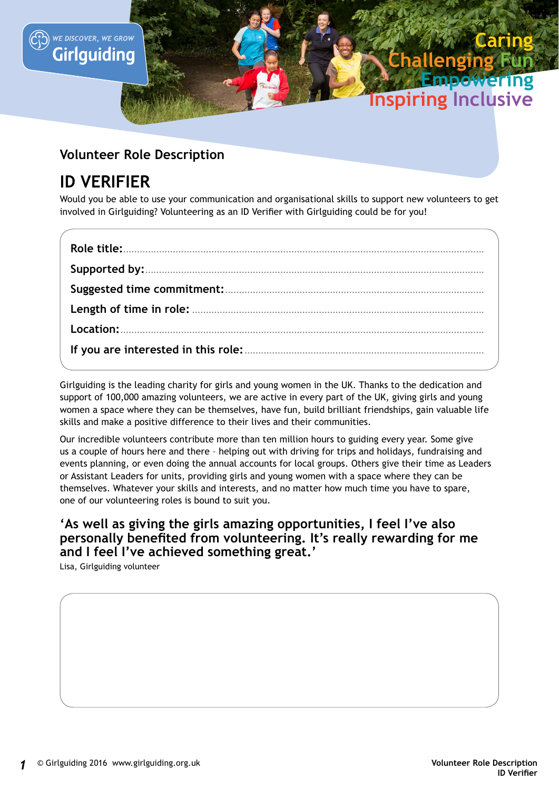

## **Volunteer Role Description**

# **ID VERIFIER**

Would you be able to use your communication and organisational skills to support new volunteers to get involved in Girlguiding? Volunteering as an ID Verifier with Girlguiding could be for you!

Girlguiding is the leading charity for girls and young women in the UK. Thanks to the dedication and support of 100,000 amazing volunteers, we are active in every part of the UK, giving girls and young women a space where they can be themselves, have fun, build brilliant friendships, gain valuable life skills and make a positive difference to their lives and their communities.

Our incredible volunteers contribute more than ten million hours to guiding every year. Some give us a couple of hours here and there – helping out with driving for trips and holidays, fundraising and events planning, or even doing the annual accounts for local groups. Others give their time as Leaders or Assistant Leaders for units, providing girls and young women with a space where they can be themselves. Whatever your skills and interests, and no matter how much time you have to spare, one of our volunteering roles is bound to suit you.

### **'As well as giving the girls amazing opportunities, I feel I've also personally benefited from volunteering. It's really rewarding for me and I feel I've achieved something great.'**

Lisa, Girlguiding volunteer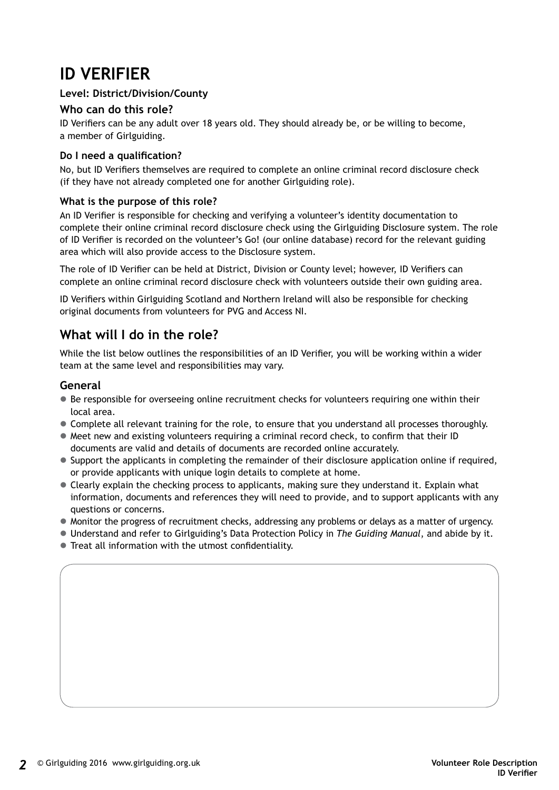# **ID VERIFIER**

#### **Level: District/Division/County**

#### **Who can do this role?**

ID Verifiers can be any adult over 18 years old. They should already be, or be willing to become, a member of Girlguiding.

#### **Do I need a qualification?**

No, but ID Verifiers themselves are required to complete an online criminal record disclosure check (if they have not already completed one for another Girlguiding role).

#### **What is the purpose of this role?**

An ID Verifier is responsible for checking and verifying a volunteer's identity documentation to complete their online criminal record disclosure check using the Girlguiding Disclosure system. The role of ID Verifier is recorded on the volunteer's Go! (our online database) record for the relevant guiding area which will also provide access to the Disclosure system.

The role of ID Verifier can be held at District, Division or County level; however, ID Verifiers can complete an online criminal record disclosure check with volunteers outside their own guiding area.

ID Verifiers within Girlguiding Scotland and Northern Ireland will also be responsible for checking original documents from volunteers for PVG and Access NI.

## **What will I do in the role?**

While the list below outlines the responsibilities of an ID Verifier, you will be working within a wider team at the same level and responsibilities may vary.

#### **General**

- Be responsible for overseeing online recruitment checks for volunteers requiring one within their local area.
- Complete all relevant training for the role, to ensure that you understand all processes thoroughly.
- $\bullet$  Meet new and existing volunteers requiring a criminal record check, to confirm that their ID documents are valid and details of documents are recorded online accurately.
- $\bullet$  Support the applicants in completing the remainder of their disclosure application online if required, or provide applicants with unique login details to complete at home.
- Clearly explain the checking process to applicants, making sure they understand it. Explain what information, documents and references they will need to provide, and to support applicants with any questions or concerns.
- Monitor the progress of recruitment checks, addressing any problems or delays as a matter of urgency.
- **Understand and refer to Girlguiding's Data Protection Policy in The Guiding Manual, and abide by it.**
- Treat all information with the utmost confidentiality.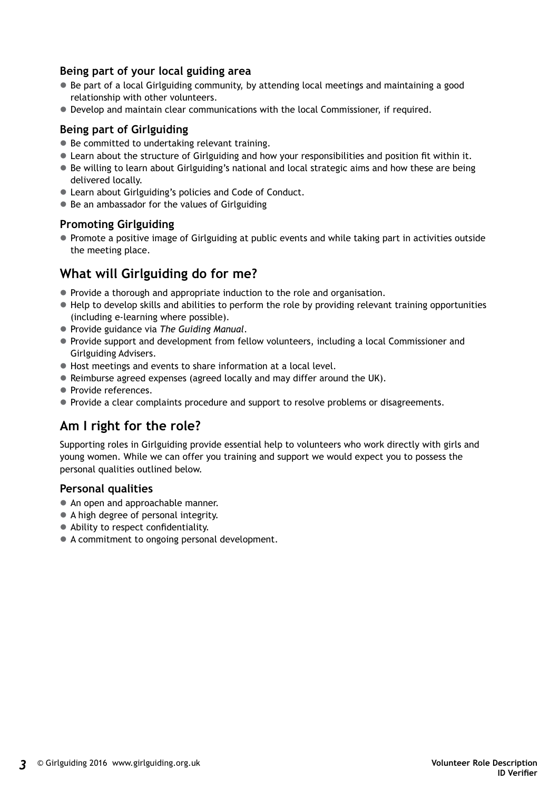#### **Being part of your local guiding area**

- Be part of a local Girlguiding community, by attending local meetings and maintaining a good relationship with other volunteers.
- $\bullet$  Develop and maintain clear communications with the local Commissioner, if required.

#### **Being part of Girlguiding**

- $\bullet$  Be committed to undertaking relevant training.
- Learn about the structure of Girlguiding and how your responsibilities and position fit within it.
- Be willing to learn about Girlguiding's national and local strategic aims and how these are being delivered locally.
- Learn about Girlguiding's policies and Code of Conduct.
- Be an ambassador for the values of Girlguiding

#### **Promoting Girlguiding**

• Promote a positive image of Girlguiding at public events and while taking part in activities outside the meeting place.

# **What will Girlguiding do for me?**

- Provide a thorough and appropriate induction to the role and organisation.
- $\bullet$  Help to develop skills and abilities to perform the role by providing relevant training opportunities (including e-learning where possible).
- z Provide guidance via *The Guiding Manual*.
- Provide support and development from fellow volunteers, including a local Commissioner and Girlguiding Advisers.
- $\bullet$  Host meetings and events to share information at a local level.
- Reimburse agreed expenses (agreed locally and may differ around the UK).
- Provide references.
- Provide a clear complaints procedure and support to resolve problems or disagreements.

### **Am I right for the role?**

Supporting roles in Girlguiding provide essential help to volunteers who work directly with girls and young women. While we can offer you training and support we would expect you to possess the personal qualities outlined below.

#### **Personal qualities**

- An open and approachable manner.
- A high degree of personal integrity.
- Ability to respect confidentiality.
- A commitment to ongoing personal development.